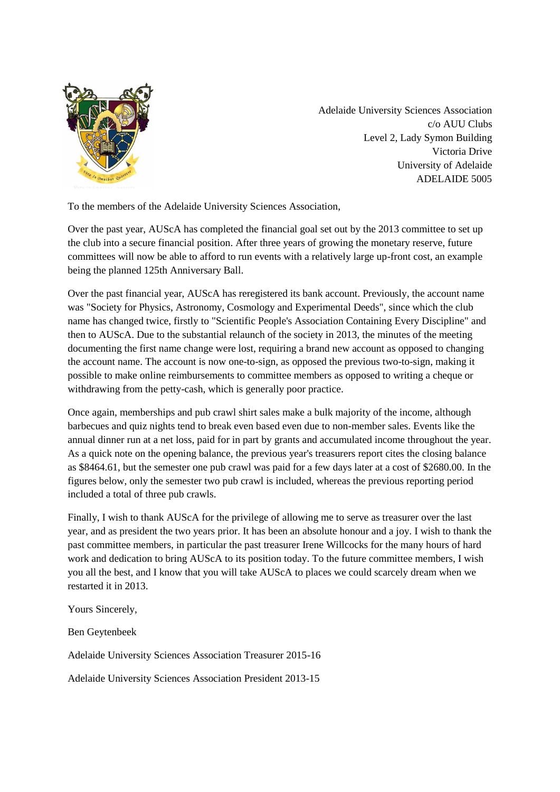

Adelaide University Sciences Association c/o AUU Clubs Level 2, Lady Symon Building Victoria Drive University of Adelaide ADELAIDE 5005

To the members of the Adelaide University Sciences Association,

Over the past year, AUScA has completed the financial goal set out by the 2013 committee to set up the club into a secure financial position. After three years of growing the monetary reserve, future committees will now be able to afford to run events with a relatively large up-front cost, an example being the planned 125th Anniversary Ball.

Over the past financial year, AUScA has reregistered its bank account. Previously, the account name was "Society for Physics, Astronomy, Cosmology and Experimental Deeds", since which the club name has changed twice, firstly to "Scientific People's Association Containing Every Discipline" and then to AUScA. Due to the substantial relaunch of the society in 2013, the minutes of the meeting documenting the first name change were lost, requiring a brand new account as opposed to changing the account name. The account is now one-to-sign, as opposed the previous two-to-sign, making it possible to make online reimbursements to committee members as opposed to writing a cheque or withdrawing from the petty-cash, which is generally poor practice.

Once again, memberships and pub crawl shirt sales make a bulk majority of the income, although barbecues and quiz nights tend to break even based even due to non-member sales. Events like the annual dinner run at a net loss, paid for in part by grants and accumulated income throughout the year. As a quick note on the opening balance, the previous year's treasurers report cites the closing balance as \$8464.61, but the semester one pub crawl was paid for a few days later at a cost of \$2680.00. In the figures below, only the semester two pub crawl is included, whereas the previous reporting period included a total of three pub crawls.

Finally, I wish to thank AUScA for the privilege of allowing me to serve as treasurer over the last year, and as president the two years prior. It has been an absolute honour and a joy. I wish to thank the past committee members, in particular the past treasurer Irene Willcocks for the many hours of hard work and dedication to bring AUScA to its position today. To the future committee members, I wish you all the best, and I know that you will take AUScA to places we could scarcely dream when we restarted it in 2013.

Yours Sincerely,

Ben Geytenbeek

Adelaide University Sciences Association Treasurer 2015-16

Adelaide University Sciences Association President 2013-15